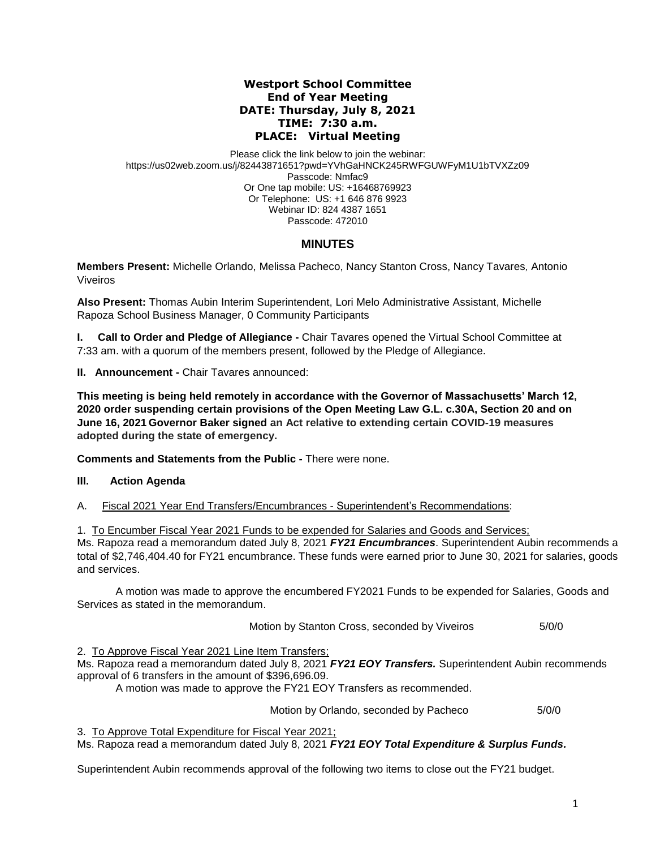### **Westport School Committee End of Year Meeting DATE: Thursday, July 8, 2021 TIME: 7:30 a.m. PLACE: Virtual Meeting**

Please click the link below to join the webinar: https://us02web.zoom.us/j/82443871651?pwd=YVhGaHNCK245RWFGUWFyM1U1bTVXZz09 Passcode: Nmfac9 Or One tap mobile: US: +16468769923 Or Telephone: US: +1 646 876 9923 Webinar ID: 824 4387 1651 Passcode: 472010

# **MINUTES**

**Members Present:** Michelle Orlando, Melissa Pacheco, Nancy Stanton Cross, Nancy Tavares*,* Antonio Viveiros

**Also Present:** Thomas Aubin Interim Superintendent, Lori Melo Administrative Assistant, Michelle Rapoza School Business Manager, 0 Community Participants

**I. Call to Order and Pledge of Allegiance -** Chair Tavares opened the Virtual School Committee at 7:33 am. with a quorum of the members present, followed by the Pledge of Allegiance.

**II. Announcement -** Chair Tavares announced:

**This meeting is being held remotely in accordance with the Governor of Massachusetts' March 12, 2020 order suspending certain provisions of the Open Meeting Law G.L. c.30A, Section 20 and on June 16, 2021 Governor Baker signed an Act relative to extending certain COVID-19 measures adopted during the state of emergency.**

**Comments and Statements from the Public -** There were none.

## **III. Action Agenda**

A. Fiscal 2021 Year End Transfers/Encumbrances - Superintendent's Recommendations:

1. To Encumber Fiscal Year 2021 Funds to be expended for Salaries and Goods and Services; Ms. Rapoza read a memorandum dated July 8, 2021 *FY21 Encumbrances*. Superintendent Aubin recommends a total of \$2,746,404.40 for FY21 encumbrance. These funds were earned prior to June 30, 2021 for salaries, goods and services.

A motion was made to approve the encumbered FY2021 Funds to be expended for Salaries, Goods and Services as stated in the memorandum.

Motion by Stanton Cross, seconded by Viveiros 5/0/0

2. To Approve Fiscal Year 2021 Line Item Transfers;

Ms. Rapoza read a memorandum dated July 8, 2021 *FY21 EOY Transfers.* Superintendent Aubin recommends approval of 6 transfers in the amount of \$396,696.09.

A motion was made to approve the FY21 EOY Transfers as recommended.

Motion by Orlando, seconded by Pacheco 5/0/0

3. To Approve Total Expenditure for Fiscal Year 2021; Ms. Rapoza read a memorandum dated July 8, 2021 *FY21 EOY Total Expenditure & Surplus Funds.*

Superintendent Aubin recommends approval of the following two items to close out the FY21 budget.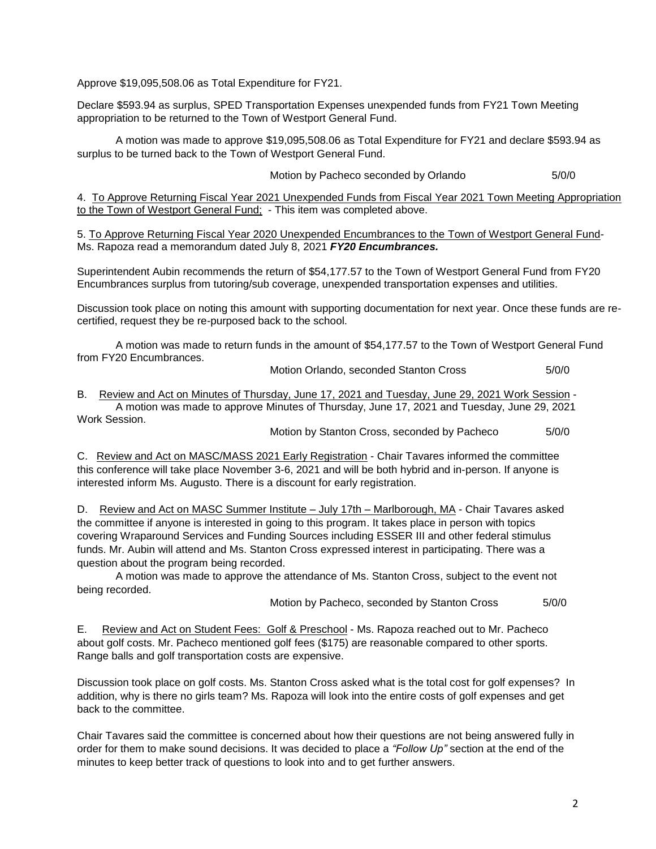Approve \$19,095,508.06 as Total Expenditure for FY21.

Declare \$593.94 as surplus, SPED Transportation Expenses unexpended funds from FY21 Town Meeting appropriation to be returned to the Town of Westport General Fund.

A motion was made to approve \$19,095,508.06 as Total Expenditure for FY21 and declare \$593.94 as surplus to be turned back to the Town of Westport General Fund.

Motion by Pacheco seconded by Orlando 5/0/0

4. To Approve Returning Fiscal Year 2021 Unexpended Funds from Fiscal Year 2021 Town Meeting Appropriation to the Town of Westport General Fund; - This item was completed above.

5. To Approve Returning Fiscal Year 2020 Unexpended Encumbrances to the Town of Westport General Fund-Ms. Rapoza read a memorandum dated July 8, 2021 *FY20 Encumbrances.*

Superintendent Aubin recommends the return of \$54,177.57 to the Town of Westport General Fund from FY20 Encumbrances surplus from tutoring/sub coverage, unexpended transportation expenses and utilities.

Discussion took place on noting this amount with supporting documentation for next year. Once these funds are recertified, request they be re-purposed back to the school.

A motion was made to return funds in the amount of \$54,177.57 to the Town of Westport General Fund from FY20 Encumbrances.

Motion Orlando, seconded Stanton Cross 5/0/0

B. Review and Act on Minutes of Thursday, June 17, 2021 and Tuesday, June 29, 2021 Work Session - A motion was made to approve Minutes of Thursday, June 17, 2021 and Tuesday, June 29, 2021 Work Session.

Motion by Stanton Cross, seconded by Pacheco 5/0/0

C. Review and Act on MASC/MASS 2021 Early Registration - Chair Tavares informed the committee this conference will take place November 3-6, 2021 and will be both hybrid and in-person. If anyone is interested inform Ms. Augusto. There is a discount for early registration.

D. Review and Act on MASC Summer Institute – July 17th – Marlborough, MA - Chair Tavares asked the committee if anyone is interested in going to this program. It takes place in person with topics covering Wraparound Services and Funding Sources including ESSER III and other federal stimulus funds. Mr. Aubin will attend and Ms. Stanton Cross expressed interest in participating. There was a question about the program being recorded.

A motion was made to approve the attendance of Ms. Stanton Cross, subject to the event not being recorded.

Motion by Pacheco, seconded by Stanton Cross 5/0/0

E. Review and Act on Student Fees: Golf & Preschool - Ms. Rapoza reached out to Mr. Pacheco about golf costs. Mr. Pacheco mentioned golf fees (\$175) are reasonable compared to other sports. Range balls and golf transportation costs are expensive.

Discussion took place on golf costs. Ms. Stanton Cross asked what is the total cost for golf expenses? In addition, why is there no girls team? Ms. Rapoza will look into the entire costs of golf expenses and get back to the committee.

Chair Tavares said the committee is concerned about how their questions are not being answered fully in order for them to make sound decisions. It was decided to place a *"Follow Up"* section at the end of the minutes to keep better track of questions to look into and to get further answers.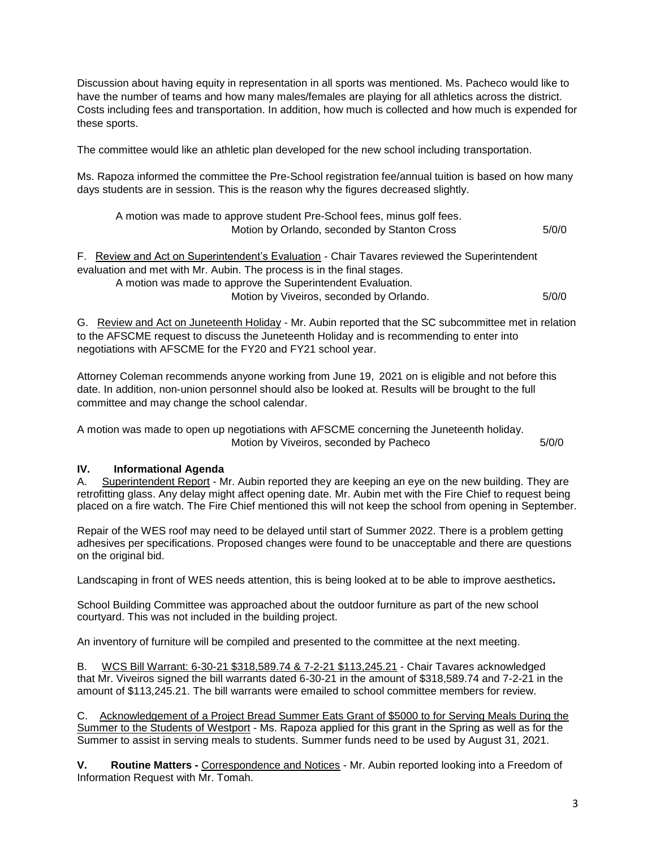Discussion about having equity in representation in all sports was mentioned. Ms. Pacheco would like to have the number of teams and how many males/females are playing for all athletics across the district. Costs including fees and transportation. In addition, how much is collected and how much is expended for these sports.

The committee would like an athletic plan developed for the new school including transportation.

Ms. Rapoza informed the committee the Pre-School registration fee/annual tuition is based on how many days students are in session. This is the reason why the figures decreased slightly.

| A motion was made to approve student Pre-School fees, minus golf fees.<br>Motion by Orlando, seconded by Stanton Cross                                                 | 5/0/0 |
|------------------------------------------------------------------------------------------------------------------------------------------------------------------------|-------|
| F. Review and Act on Superintendent's Evaluation - Chair Tavares reviewed the Superintendent<br>evaluation and met with Mr. Aubin. The process is in the final stages. |       |
| A motion was made to approve the Superintendent Evaluation.                                                                                                            |       |
| Motion by Viveiros, seconded by Orlando.                                                                                                                               | 5/0/0 |

G. Review and Act on Juneteenth Holiday - Mr. Aubin reported that the SC subcommittee met in relation to the AFSCME request to discuss the Juneteenth Holiday and is recommending to enter into negotiations with AFSCME for the FY20 and FY21 school year.

Attorney Coleman recommends anyone working from June 19, 2021 on is eligible and not before this date. In addition, non-union personnel should also be looked at. Results will be brought to the full committee and may change the school calendar.

A motion was made to open up negotiations with AFSCME concerning the Juneteenth holiday. Motion by Viveiros, seconded by Pacheco 5/0/0

# **IV. Informational Agenda**

A. Superintendent Report - Mr. Aubin reported they are keeping an eye on the new building. They are retrofitting glass. Any delay might affect opening date. Mr. Aubin met with the Fire Chief to request being placed on a fire watch. The Fire Chief mentioned this will not keep the school from opening in September.

Repair of the WES roof may need to be delayed until start of Summer 2022. There is a problem getting adhesives per specifications. Proposed changes were found to be unacceptable and there are questions on the original bid.

Landscaping in front of WES needs attention, this is being looked at to be able to improve aesthetics**.**

School Building Committee was approached about the outdoor furniture as part of the new school courtyard. This was not included in the building project.

An inventory of furniture will be compiled and presented to the committee at the next meeting.

B. WCS Bill Warrant: 6-30-21 \$318,589.74 & 7-2-21 \$113,245.21 - Chair Tavares acknowledged that Mr. Viveiros signed the bill warrants dated 6-30-21 in the amount of \$318,589.74 and 7-2-21 in the amount of \$113,245.21. The bill warrants were emailed to school committee members for review.

C. Acknowledgement of a Project Bread Summer Eats Grant of \$5000 to for Serving Meals During the Summer to the Students of Westport - Ms. Rapoza applied for this grant in the Spring as well as for the Summer to assist in serving meals to students. Summer funds need to be used by August 31, 2021.

**V. Routine Matters -** Correspondence and Notices - Mr. Aubin reported looking into a Freedom of Information Request with Mr. Tomah.